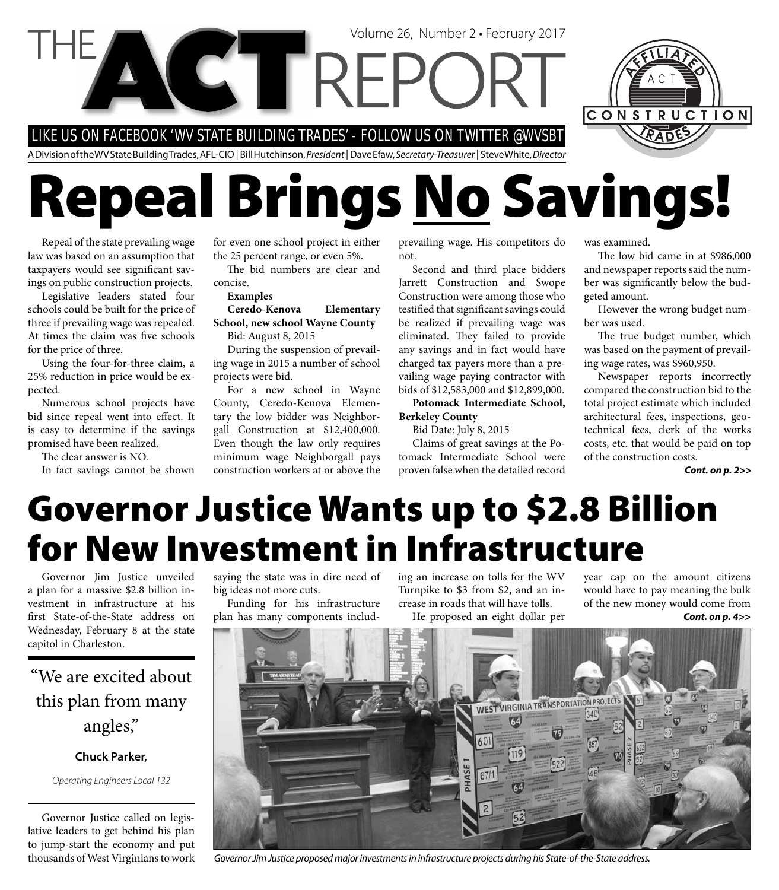

# **Repeal Brings No Savings!**

Repeal of the state prevailing wage law was based on an assumption that taxpayers would see significant savings on public construction projects.

Legislative leaders stated four schools could be built for the price of three if prevailing wage was repealed. At times the claim was five schools for the price of three.

Using the four-for-three claim, a 25% reduction in price would be expected.

Numerous school projects have bid since repeal went into effect. It is easy to determine if the savings promised have been realized.

The clear answer is NO.

In fact savings cannot be shown

for even one school project in either the 25 percent range, or even 5%.

The bid numbers are clear and concise.

**Examples**

#### **Ceredo-Kenova Elementary School, new school Wayne County**

Bid: August 8, 2015

During the suspension of prevailing wage in 2015 a number of school projects were bid.

For a new school in Wayne County, Ceredo-Kenova Elementary the low bidder was Neighborgall Construction at \$12,400,000. Even though the law only requires minimum wage Neighborgall pays construction workers at or above the

prevailing wage. His competitors do not.

Second and third place bidders Jarrett Construction and Swope Construction were among those who testified that significant savings could be realized if prevailing wage was eliminated. They failed to provide any savings and in fact would have charged tax payers more than a prevailing wage paying contractor with bids of \$12,583,000 and \$12,899,000.

**Potomack Intermediate School, Berkeley County**

Bid Date: July 8, 2015

Claims of great savings at the Potomack Intermediate School were proven false when the detailed record

was examined.

The low bid came in at \$986,000 and newspaper reports said the number was significantly below the budgeted amount.

However the wrong budget number was used.

The true budget number, which was based on the payment of prevailing wage rates, was \$960,950.

Newspaper reports incorrectly compared the construction bid to the total project estimate which included architectural fees, inspections, geotechnical fees, clerk of the works costs, etc. that would be paid on top of the construction costs.

*Cont. on p. 2>>*

### **Governor Justice Wants up to \$2.8 Billion for New Investment in Infrastructure**

Governor Jim Justice unveiled a plan for a massive \$2.8 billion investment in infrastructure at his first State-of-the-State address on Wednesday, February 8 at the state capitol in Charleston.

### "We are excited about this plan from many angles,"

#### **Chuck Parker,**

Operating Engineers Local 132

Governor Justice called on legislative leaders to get behind his plan to jump-start the economy and put thousands of West Virginians to work saying the state was in dire need of big ideas not more cuts.

Funding for his infrastructure plan has many components including an increase on tolls for the WV Turnpike to \$3 from \$2, and an increase in roads that will have tolls.

He proposed an eight dollar per

year cap on the amount citizens would have to pay meaning the bulk of the new money would come from *Cont. on p. 4>>*



Governor Jim Justice proposed major investments in infrastructure projects during his State-of-the-State address.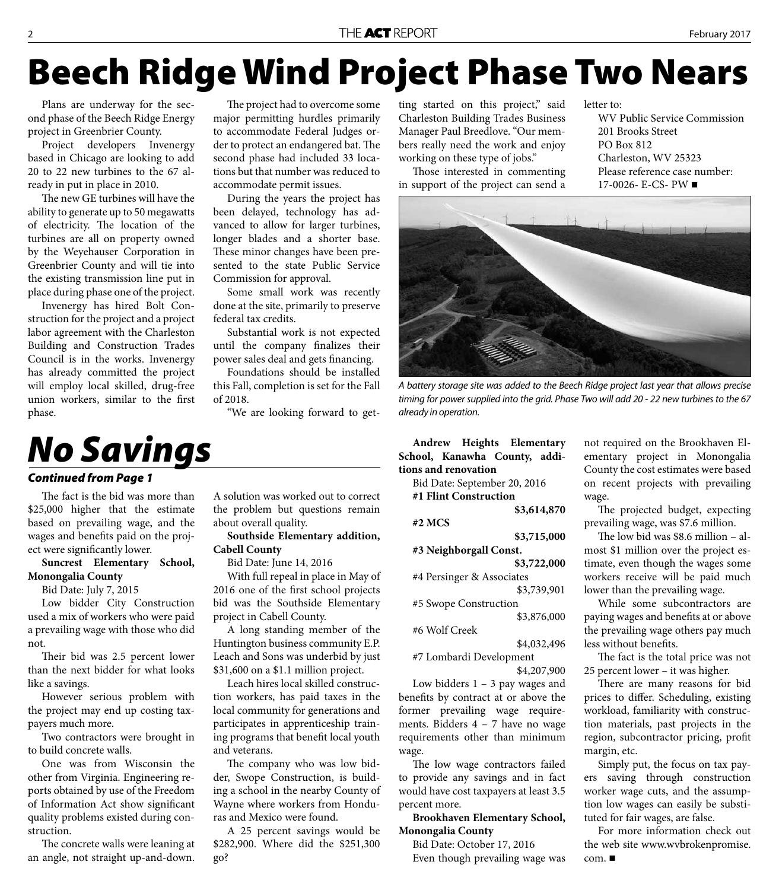## **Beech Ridge Wind Project Phase Two Nears**

Plans are underway for the second phase of the Beech Ridge Energy project in Greenbrier County.

Project developers Invenergy based in Chicago are looking to add 20 to 22 new turbines to the 67 already in put in place in 2010.

The new GE turbines will have the ability to generate up to 50 megawatts of electricity. The location of the turbines are all on property owned by the Weyehauser Corporation in Greenbrier County and will tie into the existing transmission line put in place during phase one of the project.

Invenergy has hired Bolt Construction for the project and a project labor agreement with the Charleston Building and Construction Trades Council is in the works. Invenergy has already committed the project will employ local skilled, drug-free union workers, similar to the first phase.

The project had to overcome some major permitting hurdles primarily to accommodate Federal Judges order to protect an endangered bat. The second phase had included 33 locations but that number was reduced to accommodate permit issues.

During the years the project has been delayed, technology has advanced to allow for larger turbines, longer blades and a shorter base. These minor changes have been presented to the state Public Service Commission for approval.

Some small work was recently done at the site, primarily to preserve federal tax credits.

Substantial work is not expected until the company finalizes their power sales deal and gets financing.

Foundations should be installed this Fall, completion is set for the Fall of 2018.

"We are looking forward to get-

### *No Savings*

#### *Continued from Page 1*

The fact is the bid was more than \$25,000 higher that the estimate based on prevailing wage, and the wages and benefits paid on the project were significantly lower.

#### **Suncrest Elementary School, Monongalia County**

Bid Date: July 7, 2015

Low bidder City Construction used a mix of workers who were paid a prevailing wage with those who did not.

Their bid was 2.5 percent lower than the next bidder for what looks like a savings.

However serious problem with the project may end up costing taxpayers much more.

Two contractors were brought in to build concrete walls.

One was from Wisconsin the other from Virginia. Engineering reports obtained by use of the Freedom of Information Act show significant quality problems existed during construction.

The concrete walls were leaning at an angle, not straight up-and-down. A solution was worked out to correct the problem but questions remain about overall quality.

### **Cabell County**

Bid Date: June 14, 2016

With full repeal in place in May of 2016 one of the first school projects bid was the Southside Elementary project in Cabell County.

A long standing member of the Huntington business community E.P. Leach and Sons was underbid by just \$31,600 on a \$1.1 million project.

Leach hires local skilled construction workers, has paid taxes in the local community for generations and participates in apprenticeship training programs that benefit local youth and veterans.

The company who was low bidder, Swope Construction, is building a school in the nearby County of Wayne where workers from Honduras and Mexico were found.

A 25 percent savings would be \$282,900. Where did the \$251,300 go?

ting started on this project," said Charleston Building Trades Business Manager Paul Breedlove. "Our members really need the work and enjoy working on these type of jobs."

Those interested in commenting in support of the project can send a

letter to:

WV Public Service Commission 201 Brooks Street PO Box 812 Charleston, WV 25323 Please reference case number:  $17-0026$ - E-CS- PW



A battery storage site was added to the Beech Ridge project last year that allows precise timing for power supplied into the grid. Phase Two will add 20 - 22 new turbines to the 67 already in operation.

**Andrew Heights Elementary School, Kanawha County, additions and renovation**

Bid Date: September 20, 2016 **#1 Flint Construction** 

**\$3,614,870**

**#2 MCS** 

**\$3,715,000 #3 Neighborgall Const.** 

**\$3,722,000**

#4 Persinger & Associates \$3,739,901

#5 Swope Construction

\$3,876,000

#6 Wolf Creek

\$4,032,496 #7 Lombardi Development

\$4,207,900

Low bidders  $1 - 3$  pay wages and benefits by contract at or above the former prevailing wage requirements. Bidders  $4 - 7$  have no wage requirements other than minimum wage.

The low wage contractors failed to provide any savings and in fact would have cost taxpayers at least 3.5 percent more.

#### **Brookhaven Elementary School, Monongalia County**

Bid Date: October 17, 2016 Even though prevailing wage was not required on the Brookhaven Elementary project in Monongalia County the cost estimates were based on recent projects with prevailing wage.

The projected budget, expecting prevailing wage, was \$7.6 million.

The low bid was  $$8.6$  million – almost \$1 million over the project estimate, even though the wages some workers receive will be paid much lower than the prevailing wage.

While some subcontractors are paying wages and benefits at or above the prevailing wage others pay much less without benefits.

The fact is the total price was not 25 percent lower – it was higher.

There are many reasons for bid prices to differ. Scheduling, existing workload, familiarity with construction materials, past projects in the region, subcontractor pricing, profit margin, etc.

Simply put, the focus on tax payers saving through construction worker wage cuts, and the assumption low wages can easily be substituted for fair wages, are false.

For more information check out the web site www.wvbrokenpromise. com.

**Southside Elementary addition,**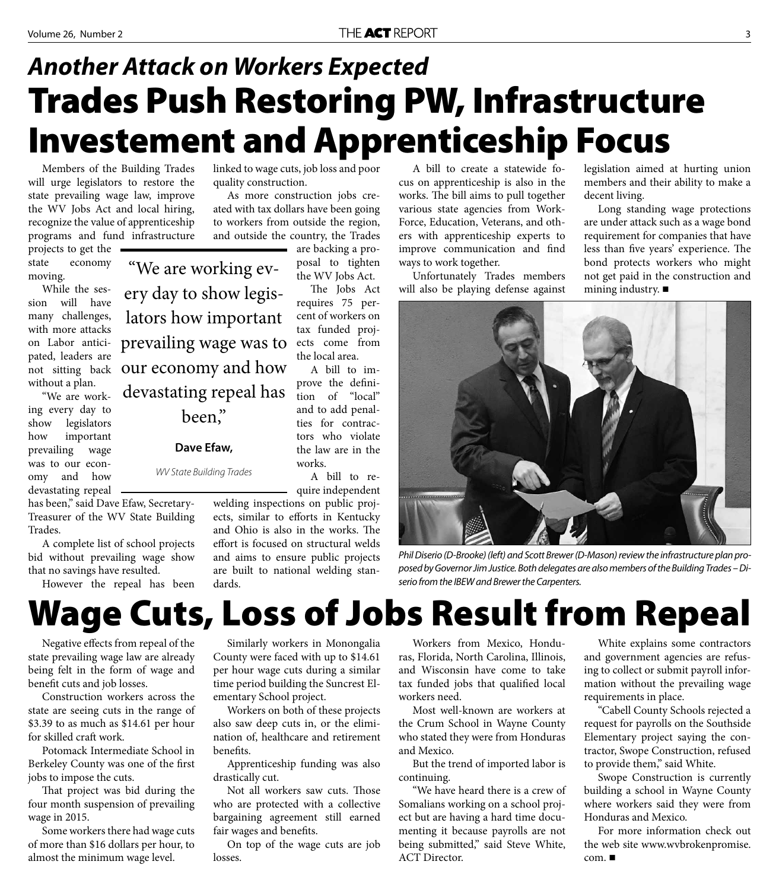### **Trades Push Restoring PW, Infrastructure Investement and Apprenticeship Focus** *Another Attack on Workers Expected*

Members of the Building Trades will urge legislators to restore the state prevailing wage law, improve the WV Jobs Act and local hiring, recognize the value of apprenticeship programs and fund infrastructure

"We are working ev-

ery day to show legis-

lators how important

prevailing wage was to

devastating repeal has

been,"

**Dave Efaw,** 

WV State Building Trades

projects to get the state economy moving.

While the session will have many challenges, with more attacks on Labor anticipated, leaders are not sitting back our economy and how without a plan.

"We are working every day to show legislators how important prevailing wage was to our economy and how devastating repeal

has been," said Dave Efaw, Secretary-Treasurer of the WV State Building Trades.

A complete list of school projects bid without prevailing wage show that no savings have resulted.

However the repeal has been

linked to wage cuts, job loss and poor quality construction.

As more construction jobs created with tax dollars have been going to workers from outside the region, and outside the country, the Trades are backing a pro-

> posal to tighten the WV Jobs Act.

The Jobs Act requires 75 percent of workers on tax funded projects come from the local area.

A bill to improve the definition of "local" and to add penalties for contractors who violate the law are in the works.

A bill to require independent

welding inspections on public projects, similar to efforts in Kentucky and Ohio is also in the works. The effort is focused on structural welds and aims to ensure public projects are built to national welding standards.

A bill to create a statewide focus on apprenticeship is also in the works. The bill aims to pull together various state agencies from Work-Force, Education, Veterans, and others with apprenticeship experts to improve communication and find ways to work together.

Unfortunately Trades members will also be playing defense against legislation aimed at hurting union members and their ability to make a decent living.

Long standing wage protections are under attack such as a wage bond requirement for companies that have less than five years' experience. The bond protects workers who might not get paid in the construction and mining industry. ■



Phil Diserio (D-Brooke) (left) and Scott Brewer (D-Mason) review the infrastructure plan proposed by Governor Jim Justice. Both delegates are also members of the Building Trades – Diserio from the IBEW and Brewer the Carpenters.

### **Wage Cuts, Loss of Jobs Result from Repeal**

Negative effects from repeal of the state prevailing wage law are already being felt in the form of wage and benefit cuts and job losses.

Construction workers across the state are seeing cuts in the range of \$3.39 to as much as \$14.61 per hour for skilled craft work.

Potomack Intermediate School in Berkeley County was one of the first jobs to impose the cuts.

That project was bid during the four month suspension of prevailing wage in 2015.

Some workers there had wage cuts of more than \$16 dollars per hour, to almost the minimum wage level.

Similarly workers in Monongalia County were faced with up to \$14.61 per hour wage cuts during a similar time period building the Suncrest Elementary School project.

Workers on both of these projects also saw deep cuts in, or the elimination of, healthcare and retirement benefits.

Apprenticeship funding was also drastically cut.

Not all workers saw cuts. Those who are protected with a collective bargaining agreement still earned fair wages and benefits.

On top of the wage cuts are job losses.

Workers from Mexico, Honduras, Florida, North Carolina, Illinois, and Wisconsin have come to take tax funded jobs that qualified local workers need.

Most well-known are workers at the Crum School in Wayne County who stated they were from Honduras and Mexico.

But the trend of imported labor is continuing.

"We have heard there is a crew of Somalians working on a school project but are having a hard time documenting it because payrolls are not being submitted," said Steve White, ACT Director.

White explains some contractors and government agencies are refusing to collect or submit payroll information without the prevailing wage requirements in place.

"Cabell County Schools rejected a request for payrolls on the Southside Elementary project saying the contractor, Swope Construction, refused to provide them," said White.

Swope Construction is currently building a school in Wayne County where workers said they were from Honduras and Mexico.

For more information check out the web site www.wvbrokenpromise. com.